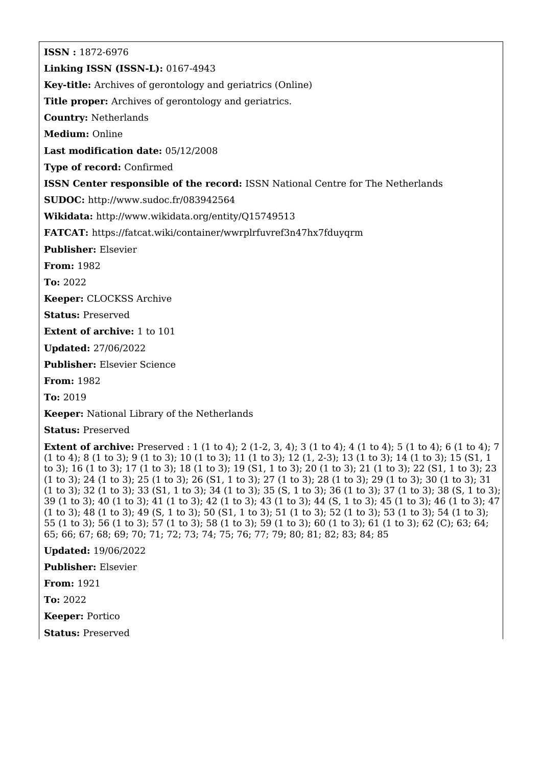**ISSN :** 1872-6976

**Linking ISSN (ISSN-L):** 0167-4943

**Key-title:** Archives of gerontology and geriatrics (Online)

**Title proper:** Archives of gerontology and geriatrics.

**Country:** Netherlands

**Medium:** Online

**Last modification date:** 05/12/2008

**Type of record:** Confirmed

**ISSN Center responsible of the record:** ISSN National Centre for The Netherlands

**SUDOC:** <http://www.sudoc.fr/083942564>

**Wikidata:** <http://www.wikidata.org/entity/Q15749513>

**FATCAT:** <https://fatcat.wiki/container/wwrplrfuvref3n47hx7fduyqrm>

**Publisher:** Elsevier

**From:** 1982

**To:** 2022

**Keeper:** CLOCKSS Archive

**Status:** Preserved

**Extent of archive:** 1 to 101

**Updated:** 27/06/2022

**Publisher:** Elsevier Science

**From:** 1982

**To:** 2019

**Keeper:** National Library of the Netherlands

**Status:** Preserved

**Extent of archive:** Preserved : 1 (1 to 4); 2 (1-2, 3, 4); 3 (1 to 4); 4 (1 to 4); 5 (1 to 4); 6 (1 to 4); 7 (1 to 4); 8 (1 to 3); 9 (1 to 3); 10 (1 to 3); 11 (1 to 3); 12 (1, 2-3); 13 (1 to 3); 14 (1 to 3); 15 (S1, 1 to 3); 16 (1 to 3); 17 (1 to 3); 18 (1 to 3); 19 (S1, 1 to 3); 20 (1 to 3); 21 (1 to 3); 22 (S1, 1 to 3); 23 (1 to 3); 24 (1 to 3); 25 (1 to 3); 26 (S1, 1 to 3); 27 (1 to 3); 28 (1 to 3); 29 (1 to 3); 30 (1 to 3); 31 (1 to 3); 32 (1 to 3); 33 (S1, 1 to 3); 34 (1 to 3); 35 (S, 1 to 3); 36 (1 to 3); 37 (1 to 3); 38 (S, 1 to 3); 39 (1 to 3); 40 (1 to 3); 41 (1 to 3); 42 (1 to 3); 43 (1 to 3); 44 (S, 1 to 3); 45 (1 to 3); 46 (1 to 3); 47 (1 to 3); 48 (1 to 3); 49 (S, 1 to 3); 50 (S1, 1 to 3); 51 (1 to 3); 52 (1 to 3); 53 (1 to 3); 54 (1 to 3); 55 (1 to 3); 56 (1 to 3); 57 (1 to 3); 58 (1 to 3); 59 (1 to 3); 60 (1 to 3); 61 (1 to 3); 62 (C); 63; 64; 65; 66; 67; 68; 69; 70; 71; 72; 73; 74; 75; 76; 77; 79; 80; 81; 82; 83; 84; 85

**Updated:** 19/06/2022

**Publisher:** Elsevier

**From:** 1921

**To:** 2022

**Keeper:** Portico

**Status:** Preserved